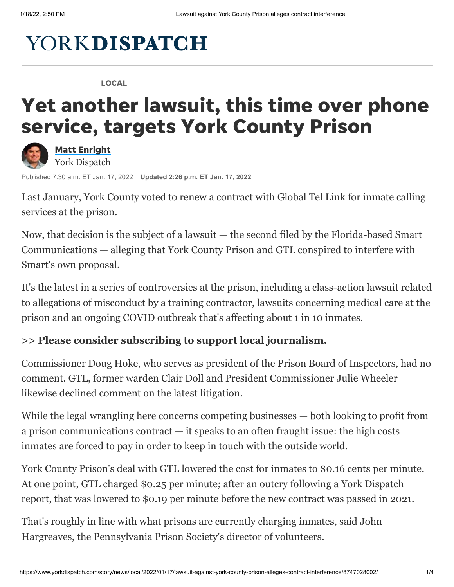## **YORKDISPATCH**

LOCAL

## Yet another lawsuit, this time over phone service, targets York County Prison



Matt [Enright](https://www.yorkdispatch.com/staff/4920856001/matt-enright/) York Dispatch

Published 7:30 a.m. ET Jan. 17, 2022 **Updated 2:26 p.m. ET Jan. 17, 2022**

Last January, York County voted to renew [a contract](https://www.yorkdispatch.com/story/news/2021/01/14/york-county-prison-reduce-inmates-phone-call-costs/4145174001/) with Global Tel Link for inmate calling services at the prison.

Now, that decision is the subject of a lawsuit — the second filed by the Florida-based Smart Communications — alleging that York County Prison and GTL conspired to interfere with Smart's own proposal.

It's the latest in a series of controversies at the prison, including a class-action lawsuit related to allegations of [misconduct by a training contractor,](https://www.yorkdispatch.com/story/news/2021/12/13/york-county-prison-contractor-sued-over-alleged-inmate-abuses/6501799001/) lawsuits concerning [medical care](https://www.yorkdispatch.com/story/news/local/2021/10/20/county-approves-one-month-renewal-primecares-prison-medical-contract/8520478002/) at the prison and an ongoing COVID outbreak that's affecting about 1 in 10 inmates.

## **[>> Please consider subscribing to support local journalism.](https://cm.yorkdispatch.com/specialoffer)**

Commissioner Doug Hoke, who serves as president of the Prison Board of Inspectors, had no comment. GTL, former warden Clair Doll and President Commissioner Julie Wheeler likewise declined comment on the latest litigation.

While the legal wrangling here concerns competing businesses — both looking to profit from a prison communications contract — it speaks to an often fraught issue: the high costs inmates are forced to pay in order to keep in touch with the outside world.

York County Prison's deal with GTL lowered the cost for inmates to \$0.16 cents per minute. At one point, GTL charged \$0.25 per minute; after an outcry following a York Dispatch report, that was lowered to \$0.19 per minute before the new contract was passed in 2021.

That's roughly in line with what prisons are currently charging inmates, said John Hargreaves, the Pennsylvania Prison Society's director of volunteers.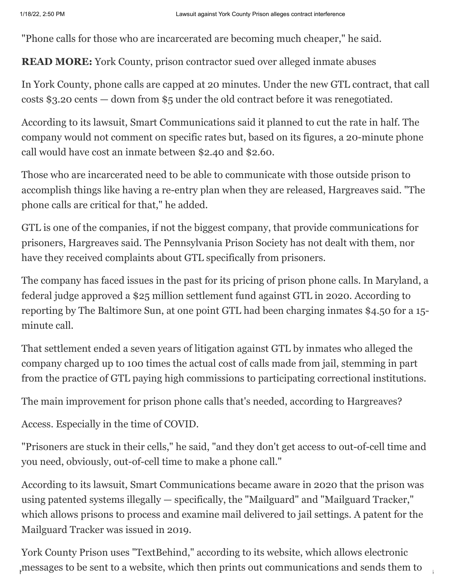"Phone calls for those who are incarcerated are becoming much cheaper," he said.

**READ MORE:** [York County, prison contractor sued over alleged inmate abuses](https://www.yorkdispatch.com/story/news/2021/12/13/york-county-prison-contractor-sued-over-alleged-inmate-abuses/6501799001/)

In York County, phone calls are capped at 20 minutes. Under the new GTL contract, that call costs \$3.20 cents — down from \$5 under the old contract before it was renegotiated.

According to its lawsuit, Smart Communications said it planned to cut the rate in half. The company would not comment on specific rates but, based on its figures, a 20-minute phone call would have cost an inmate between \$2.40 and \$2.60.

Those who are incarcerated need to be able to communicate with those outside prison to accomplish things like having a re-entry plan when they are released, Hargreaves said. "The phone calls are critical for that," he added.

GTL is one of the companies, if not the biggest company, that provide communications for prisoners, Hargreaves said. The Pennsylvania Prison Society has not dealt with them, nor have they received complaints about GTL specifically from prisoners.

The company has faced issues in the past for its pricing of prison phone calls. In Maryland, a federal judge [approved a \\$25 million settlement fund](https://www.prisonlegalnews.org/news/2020/dec/1/federal-judge-approves-25-million-class-action-settlement-against-global-tellink/) against GTL in 2020. According to [reporting](https://www.baltimoresun.com/news/crime/bs-md-prison-phones-20151023-story.html) by The Baltimore Sun, at one point GTL had been charging inmates \$4.50 for a 15 minute call.

That settlement ended a seven years of litigation against GTL by inmates who alleged the company charged up to 100 times the actual cost of calls made from jail, stemming in part from the practice of GTL paying high commissions to participating correctional institutions.

The main improvement for prison phone calls that's needed, according to Hargreaves?

Access. Especially in the time of COVID.

"Prisoners are stuck in their cells," he said, "and they don't get access to out-of-cell time and you need, obviously, out-of-cell time to make a phone call."

According to its lawsuit, Smart Communications became aware in 2020 that the prison was using patented systems illegally — specifically, the "Mailguard" and "Mailguard Tracker," which allows prisons to process and examine mail delivered to jail settings. [A patent](https://patft.uspto.gov/netacgi/nph-Parser?Sect1=PTO1&Sect2=HITOFF&d=PALL&p=1&u=%2Fnetahtml%2FPTO%2Fsrchnum.htm&r=1&f=G&l=50&s1=10,291,617.PN.&OS=PN/10,291,617&RS=PN/10,291,617) for the Mailguard Tracker was issued in 2019.

 $\mu_{\rm p}$ messages to be sent to a website, which then prints out communications and sends them to York County Prison uses ["TextBehind,"](https://textbehind.com/) according to its website, which allows electronic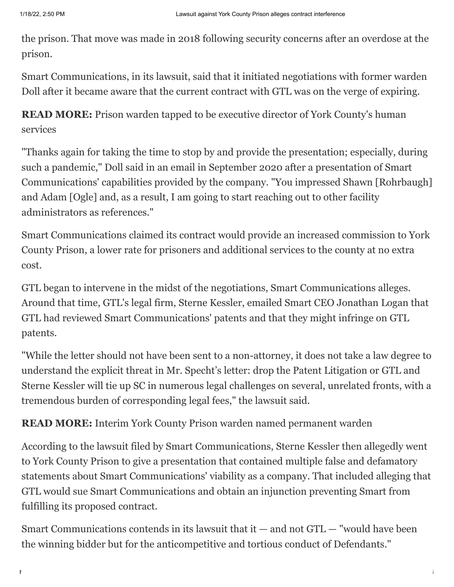the prison. That move was made in [2018](https://www.yorkdispatch.com/story/news/2018/09/21/contraband-concerns-prompt-york-county-prison-move-digital-mail/1348849002/) following security concerns after an overdose at the prison.

Smart Communications, in its lawsuit, said that it initiated negotiations with former warden Doll after it became aware that the current contract with GTL was on the verge of expiring.

**READ MORE:** [Prison warden tapped to be executive director of York County's human](https://www.yorkdispatch.com/story/news/local/2021/04/01/prison-warden-now-executive-director-york-countys-human-services/4837223001/) services

"Thanks again for taking the time to stop by and provide the presentation; especially, during such a pandemic," Doll said in an email in September 2020 after a presentation of Smart Communications' capabilities provided by the company. "You impressed Shawn [Rohrbaugh] and Adam [Ogle] and, as a result, I am going to start reaching out to other facility administrators as references."

Smart Communications claimed its contract would provide an increased commission to York County Prison, a lower rate for prisoners and additional services to the county at no extra cost.

GTL began to intervene in the midst of the negotiations, Smart Communications alleges. Around that time, GTL's legal firm, Sterne Kessler, emailed Smart CEO Jonathan Logan that GTL had reviewed Smart Communications' patents and that they might infringe on GTL patents.

"While the letter should not have been sent to a non-attorney, it does not take a law degree to understand the explicit threat in Mr. Specht's letter: drop the Patent Litigation or GTL and Sterne Kessler will tie up SC in numerous legal challenges on several, unrelated fronts, with a tremendous burden of corresponding legal fees," the lawsuit said.

**READ MORE:** [Interim York County Prison warden named permanent warden](https://www.yorkdispatch.com/story/news/local/2021/06/09/interim-york-county-prison-warden-named-permanent-warden/7618937002/)

According to the lawsuit filed by Smart Communications, Sterne Kessler then allegedly went to York County Prison to give a presentation that contained multiple false and defamatory statements about Smart Communications' viability as a company. That included alleging that GTL would sue Smart Communications and obtain an injunction preventing Smart from fulfilling its proposed contract.

Smart Communications contends in its lawsuit that it  $-$  and not GTL  $-$  "would have been the winning bidder but for the anticompetitive and tortious conduct of Defendants."